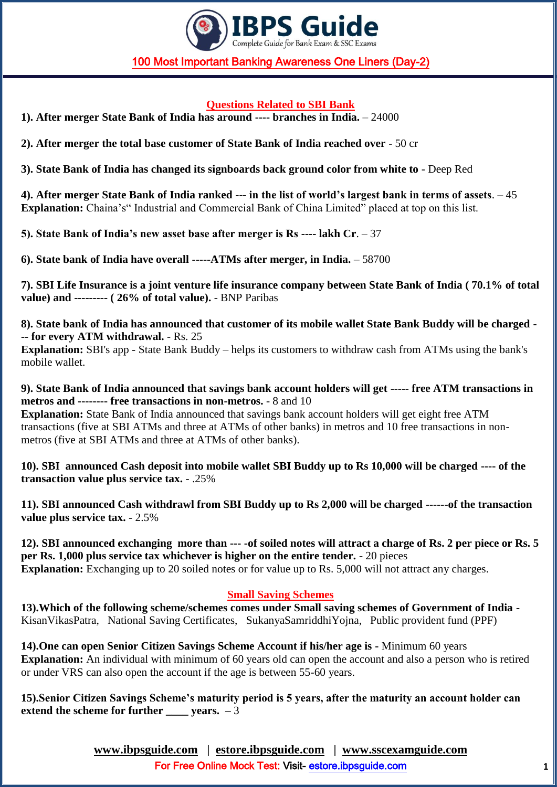

#### **Questions Related to SBI Bank**

**1). After merger State Bank of India has around ---- branches in India.** – 24000

**2). After merger the total base customer of State Bank of India reached over** - 50 cr

**3). State Bank of India has changed its signboards back ground color from white to** - Deep Red

**4). After merger State Bank of India ranked --- in the list of world"s largest bank in terms of assets**. – 45 **Explanation:** Chaina's" Industrial and Commercial Bank of China Limited" placed at top on this list.

**5). State Bank of India"s new asset base after merger is Rs ---- lakh Cr**. – 37

**6). State bank of India have overall -----ATMs after merger, in India.** – 58700

**7). SBI Life Insurance is a joint venture life insurance company between State Bank of India ( 70.1% of total value) and --------- ( 26% of total value).** - BNP Paribas

**8). State bank of India has announced that customer of its mobile wallet State Bank Buddy will be charged - -- for every ATM withdrawal.** - Rs. 25

**Explanation:** SBI's app - State Bank Buddy – helps its customers to withdraw cash from ATMs using the bank's mobile wallet.

**9). State Bank of India announced that savings bank account holders will get ----- free ATM transactions in metros and -------- free transactions in non-metros.** - 8 and 10

**Explanation:** State Bank of India announced that savings bank account holders will get eight free ATM transactions (five at SBI ATMs and three at ATMs of other banks) in metros and 10 free transactions in nonmetros (five at SBI ATMs and three at ATMs of other banks).

**10). SBI announced Cash deposit into mobile wallet SBI Buddy up to Rs 10,000 will be charged ---- of the transaction value plus service tax.** - .25%

**11). SBI announced Cash withdrawl from SBI Buddy up to Rs 2,000 will be charged ------of the transaction value plus service tax.** - 2.5%

**12). SBI announced exchanging more than --- -of soiled notes will attract a charge of Rs. 2 per piece or Rs. 5 per Rs. 1,000 plus service tax whichever is higher on the entire tender.** - 20 pieces **Explanation:** Exchanging up to 20 soiled notes or for value up to Rs. 5,000 will not attract any charges.

#### **Small Saving Schemes**

**13).Which of the following scheme/schemes comes under Small saving schemes of Government of India -** KisanVikasPatra, National Saving Certificates, SukanyaSamriddhiYojna, Public provident fund (PPF)

**14).One can open Senior Citizen Savings Scheme Account if his/her age is -** Minimum 60 years **Explanation:** An individual with minimum of 60 years old can open the account and also a person who is retired or under VRS can also open the account if the age is between 55-60 years.

**15).Senior Citizen Savings Scheme"s maturity period is 5 years, after the maturity an account holder can extend the scheme for further vears.**  $-\overline{3}$ 

> **[www.ibpsguide.com](http://www.ibpsguide.com/) | estore.ibpsguide.com | [www.sscexamguide.com](http://www.sscexamguide.com/)** For Free Online Mock Test: Visit-<estore.ibpsguide.com>**1**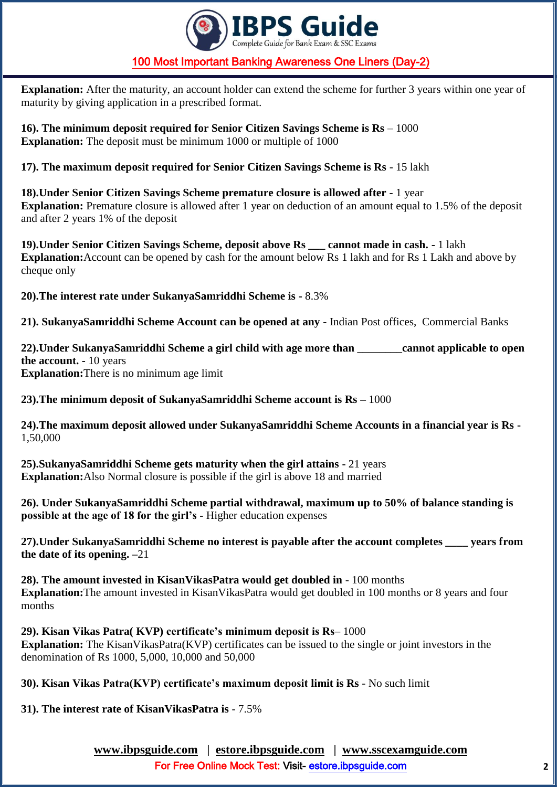

**Explanation:** After the maturity, an account holder can extend the scheme for further 3 years within one year of maturity by giving application in a prescribed format.

**16). The minimum deposit required for Senior Citizen Savings Scheme is Rs** – 1000 **Explanation:** The deposit must be minimum 1000 or multiple of 1000

**17). The maximum deposit required for Senior Citizen Savings Scheme is Rs** - 15 lakh

**18).Under Senior Citizen Savings Scheme premature closure is allowed after -** 1 year **Explanation:** Premature closure is allowed after 1 year on deduction of an amount equal to 1.5% of the deposit and after 2 years 1% of the deposit

**19).Under Senior Citizen Savings Scheme, deposit above Rs \_\_\_ cannot made in cash. -** 1 lakh **Explanation:**Account can be opened by cash for the amount below Rs 1 lakh and for Rs 1 Lakh and above by cheque only

**20).The interest rate under SukanyaSamriddhi Scheme is -** 8.3%

**21). SukanyaSamriddhi Scheme Account can be opened at any -** Indian Post offices, Commercial Banks

**22).Under SukanyaSamriddhi Scheme a girl child with age more than \_\_\_\_\_\_\_\_cannot applicable to open the account. -** 10 years **Explanation:**There is no minimum age limit

**23).The minimum deposit of SukanyaSamriddhi Scheme account is Rs –** 1000

**24).The maximum deposit allowed under SukanyaSamriddhi Scheme Accounts in a financial year is Rs -** 1,50,000

**25).SukanyaSamriddhi Scheme gets maturity when the girl attains -** 21 years **Explanation:**Also Normal closure is possible if the girl is above 18 and married

**26). Under SukanyaSamriddhi Scheme partial withdrawal, maximum up to 50% of balance standing is possible at the age of 18 for the girl"s -** Higher education expenses

**27).Under SukanyaSamriddhi Scheme no interest is payable after the account completes \_\_\_\_ years from the date of its opening. –**21

**28). The amount invested in KisanVikasPatra would get doubled in** - 100 months **Explanation:**The amount invested in KisanVikasPatra would get doubled in 100 months or 8 years and four months

**29). Kisan Vikas Patra( KVP) certificate"s minimum deposit is Rs**– 1000 **Explanation:** The KisanVikasPatra(KVP) certificates can be issued to the single or joint investors in the denomination of Rs 1000, 5,000, 10,000 and 50,000

**30). Kisan Vikas Patra(KVP) certificate"s maximum deposit limit is Rs** - No such limit

**31). The interest rate of KisanVikasPatra is** - 7.5%

**[www.ibpsguide.com](http://www.ibpsguide.com/) | estore.ibpsguide.com | [www.sscexamguide.com](http://www.sscexamguide.com/)** For Free Online Mock Test: Visit-<estore.ibpsguide.com>**2**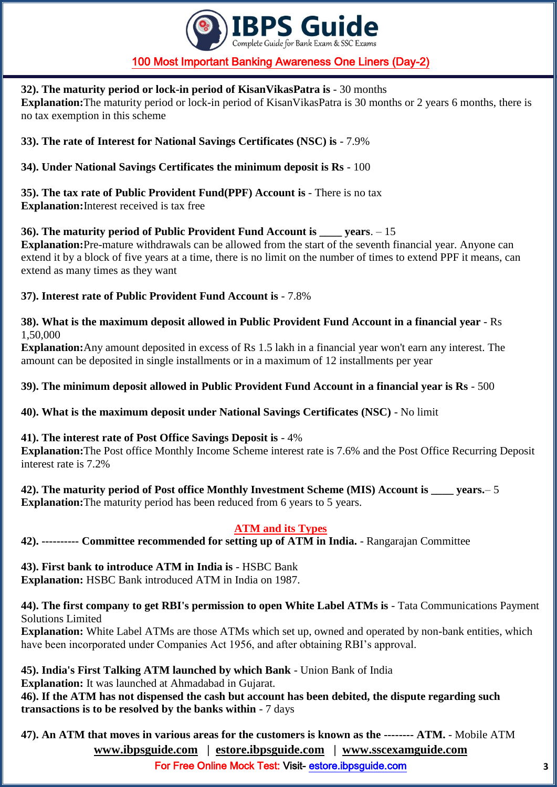

#### **32). The maturity period or lock-in period of KisanVikasPatra is** - 30 months

**Explanation:**The maturity period or lock-in period of KisanVikasPatra is 30 months or 2 years 6 months, there is no tax exemption in this scheme

**33). The rate of Interest for National Savings Certificates (NSC) is** - 7.9%

**34). Under National Savings Certificates the minimum deposit is Rs** - 100

**35). The tax rate of Public Provident Fund(PPF) Account is** - There is no tax **Explanation:**Interest received is tax free

**36). The maturity period of Public Provident Fund Account is \_\_\_\_ years**. – 15

**Explanation:**Pre-mature withdrawals can be allowed from the start of the seventh financial year. Anyone can extend it by a block of five years at a time, there is no limit on the number of times to extend PPF it means, can extend as many times as they want

#### **37). Interest rate of Public Provident Fund Account is** - 7.8%

**38). What is the maximum deposit allowed in Public Provident Fund Account in a financial year** - Rs 1,50,000

**Explanation:**Any amount deposited in excess of Rs 1.5 lakh in a financial year won't earn any interest. The amount can be deposited in single installments or in a maximum of 12 installments per year

**39). The minimum deposit allowed in Public Provident Fund Account in a financial year is Rs** - 500

**40). What is the maximum deposit under National Savings Certificates (NSC)** - No limit

#### **41). The interest rate of Post Office Savings Deposit is** - 4%

**Explanation:**The Post office Monthly Income Scheme interest rate is 7.6% and the Post Office Recurring Deposit interest rate is 7.2%

42). The maturity period of Post office Monthly Investment Scheme (MIS) Account is vears. – 5 **Explanation:** The maturity period has been reduced from 6 years to 5 years.

## **ATM and its Types**

**42). ---------- Committee recommended for setting up of ATM in India.** - Rangarajan Committee

#### **43). First bank to introduce ATM in India is** - HSBC Bank

**Explanation:** HSBC Bank introduced ATM in India on 1987.

#### **44). The first company to get RBI's permission to open White Label ATMs is** - Tata Communications Payment Solutions Limited

**Explanation:** White Label ATMs are those ATMs which set up, owned and operated by non-bank entities, which have been incorporated under Companies Act 1956, and after obtaining RBI's approval.

**45). India's First Talking ATM launched by which Bank** - Union Bank of India

**Explanation:** It was launched at Ahmadabad in Gujarat.

**46). If the ATM has not dispensed the cash but account has been debited, the dispute regarding such transactions is to be resolved by the banks within** - 7 days

**[www.ibpsguide.com](http://www.ibpsguide.com/) | estore.ibpsguide.com | [www.sscexamguide.com](http://www.sscexamguide.com/) 47). An ATM that moves in various areas for the customers is known as the -------- ATM.** - Mobile ATM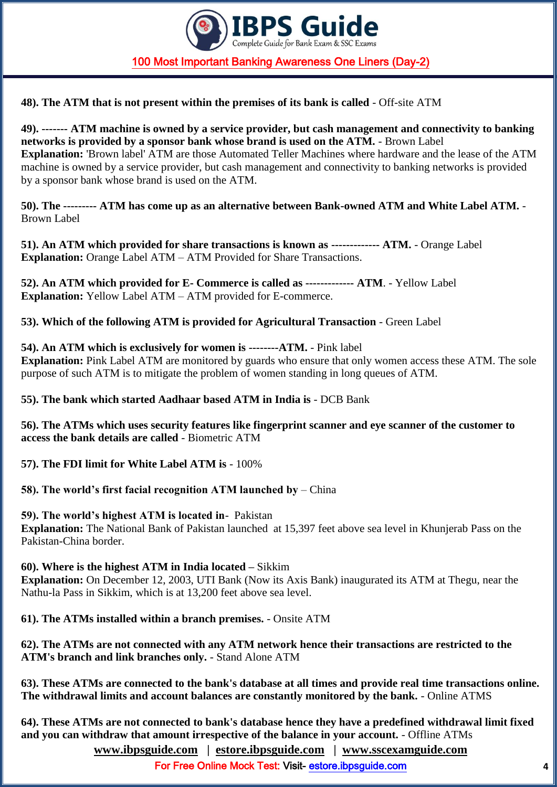

**48). The ATM that is not present within the premises of its bank is called** - Off-site ATM

**49). ------- ATM machine is owned by a service provider, but cash management and connectivity to banking networks is provided by a sponsor bank whose brand is used on the ATM.** - Brown Label **Explanation:** 'Brown label' ATM are those Automated Teller Machines where hardware and the lease of the ATM machine is owned by a service provider, but cash management and connectivity to banking networks is provided by a sponsor bank whose brand is used on the ATM.

**50). The --------- ATM has come up as an alternative between Bank-owned ATM and White Label ATM.** - Brown Label

**51). An ATM which provided for share transactions is known as ------------- ATM.** - Orange Label **Explanation:** Orange Label ATM – ATM Provided for Share Transactions.

**52). An ATM which provided for E- Commerce is called as ------------- ATM**. - Yellow Label **Explanation:** Yellow Label ATM – ATM provided for E-commerce.

**53). Which of the following ATM is provided for Agricultural Transaction** - Green Label

**54). An ATM which is exclusively for women is --------ATM.** - Pink label

**Explanation:** Pink Label ATM are monitored by guards who ensure that only women access these ATM. The sole purpose of such ATM is to mitigate the problem of women standing in long queues of ATM.

**55). The bank which started Aadhaar based ATM in India is** - DCB Bank

**56). The ATMs which uses security features like fingerprint scanner and eye scanner of the customer to access the bank details are called** - Biometric ATM

**57). The FDI limit for White Label ATM is** - 100%

**58). The world"s first facial recognition ATM launched by** – China

**59). The world"s highest ATM is located in**- Pakistan

**Explanation:** The National Bank of Pakistan launched at 15,397 feet above sea level in Khunjerab Pass on the Pakistan-China border.

**60). Where is the highest ATM in India located –** Sikkim

**Explanation:** On December 12, 2003, UTI Bank (Now its Axis Bank) inaugurated its ATM at Thegu, near the Nathu-la Pass in Sikkim, which is at 13,200 feet above sea level.

**61). The ATMs installed within a branch premises.** - Onsite ATM

**62). The ATMs are not connected with any ATM network hence their transactions are restricted to the ATM's branch and link branches only.** - Stand Alone ATM

**63). These ATMs are connected to the bank's database at all times and provide real time transactions online. The withdrawal limits and account balances are constantly monitored by the bank.** - Online ATMS

**[www.ibpsguide.com](http://www.ibpsguide.com/) | estore.ibpsguide.com | [www.sscexamguide.com](http://www.sscexamguide.com/) 64). These ATMs are not connected to bank's database hence they have a predefined withdrawal limit fixed and you can withdraw that amount irrespective of the balance in your account.** - Offline ATMs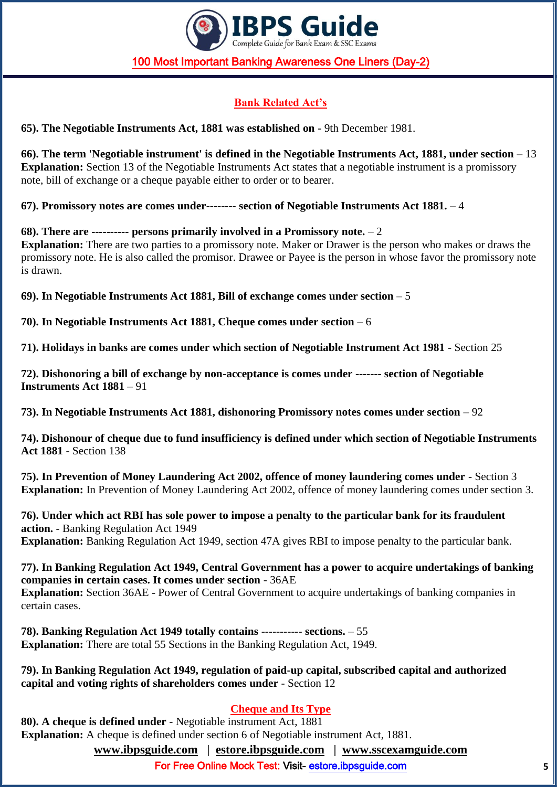

# **Bank Related Act"s**

**65). The Negotiable Instruments Act, 1881 was established on** - 9th December 1981.

**66). The term 'Negotiable instrument' is defined in the Negotiable Instruments Act, 1881, under section** – 13 **Explanation:** Section 13 of the Negotiable Instruments Act states that a negotiable instrument is a promissory note, bill of exchange or a cheque payable either to order or to bearer.

**67). Promissory notes are comes under-------- section of Negotiable Instruments Act 1881.** – 4

**68). There are ---------- persons primarily involved in a Promissory note.** – 2 **Explanation:** There are two parties to a promissory note. Maker or Drawer is the person who makes or draws the promissory note. He is also called the promisor. Drawee or Payee is the person in whose favor the promissory note is drawn.

**69). In Negotiable Instruments Act 1881, Bill of exchange comes under section** – 5

**70). In Negotiable Instruments Act 1881, Cheque comes under section** – 6

**71). Holidays in banks are comes under which section of Negotiable Instrument Act 1981** - Section 25

**72). Dishonoring a bill of exchange by non-acceptance is comes under ------- section of Negotiable Instruments Act 1881** – 91

**73). In Negotiable Instruments Act 1881, dishonoring Promissory notes comes under section** – 92

**74). Dishonour of cheque due to fund insufficiency is defined under which section of Negotiable Instruments Act 1881** - Section 138

**75). In Prevention of Money Laundering Act 2002, offence of money laundering comes under** - Section 3 **Explanation:** In Prevention of Money Laundering Act 2002, offence of money laundering comes under section 3.

**76). Under which act RBI has sole power to impose a penalty to the particular bank for its fraudulent action.** - Banking Regulation Act 1949 **Explanation:** Banking Regulation Act 1949, section 47A gives RBI to impose penalty to the particular bank.

**77). In Banking Regulation Act 1949, Central Government has a power to acquire undertakings of banking companies in certain cases. It comes under section** - 36AE **Explanation:** Section 36AE - Power of Central Government to acquire undertakings of banking companies in certain cases.

**78). Banking Regulation Act 1949 totally contains ----------- sections.** – 55 **Explanation:** There are total 55 Sections in the Banking Regulation Act, 1949.

**79). In Banking Regulation Act 1949, regulation of paid-up capital, subscribed capital and authorized capital and voting rights of shareholders comes under** - Section 12

#### **Cheque and Its Type**

**[www.ibpsguide.com](http://www.ibpsguide.com/) | estore.ibpsguide.com | [www.sscexamguide.com](http://www.sscexamguide.com/) 80). A cheque is defined under** - Negotiable instrument Act, 1881 **Explanation:** A cheque is defined under section 6 of Negotiable instrument Act, 1881.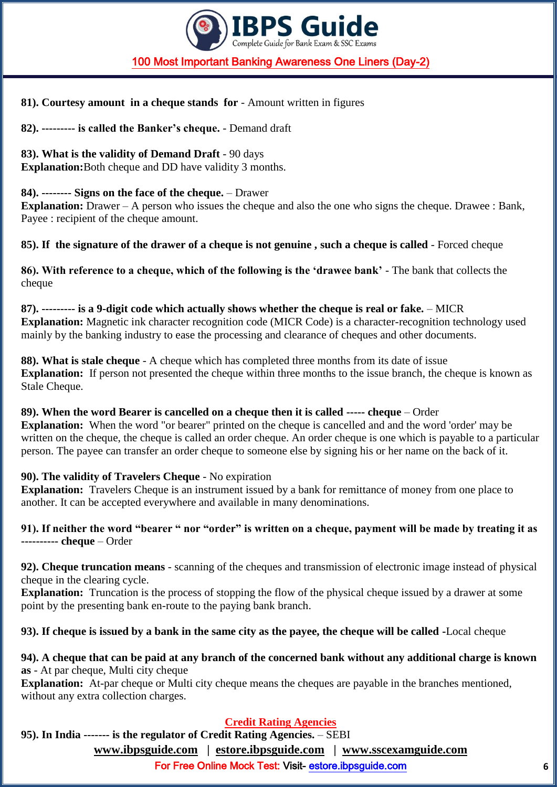

#### **81). Courtesy amount in a cheque stands for** - Amount written in figures

**82). --------- is called the Banker"s cheque.** - Demand draft

**83). What is the validity of Demand Draft** - 90 days

**Explanation:**Both cheque and DD have validity 3 months.

#### **84). -------- Signs on the face of the cheque.** – Drawer

**Explanation:** Drawer – A person who issues the cheque and also the one who signs the cheque. Drawee : Bank, Payee : recipient of the cheque amount.

**85). If the signature of the drawer of a cheque is not genuine , such a cheque is called** - Forced cheque

**86). With reference to a cheque, which of the following is the "drawee bank"** - The bank that collects the cheque

**87). --------- is a 9-digit code which actually shows whether the cheque is real or fake.** – MICR **Explanation:** Magnetic ink character recognition code (MICR Code) is a character-recognition technology used mainly by the banking industry to ease the processing and clearance of cheques and other documents.

**88). What is stale cheque** - A cheque which has completed three months from its date of issue **Explanation:** If person not presented the cheque within three months to the issue branch, the cheque is known as Stale Cheque.

## **89). When the word Bearer is cancelled on a cheque then it is called ----- cheque** – Order

**Explanation:** When the word "or bearer" printed on the cheque is cancelled and and the word 'order' may be written on the cheque, the cheque is called an order cheque. An order cheque is one which is payable to a particular person. The payee can transfer an order cheque to someone else by signing his or her name on the back of it.

## **90). The validity of Travelers Cheque** - No expiration

**Explanation:** Travelers Cheque is an instrument issued by a bank for remittance of money from one place to another. It can be accepted everywhere and available in many denominations.

#### **91). If neither the word "bearer " nor "order" is written on a cheque, payment will be made by treating it as ---------- cheque** – Order

**92). Cheque truncation means** - scanning of the cheques and transmission of electronic image instead of physical cheque in the clearing cycle.

**Explanation:** Truncation is the process of stopping the flow of the physical cheque issued by a drawer at some point by the presenting bank en-route to the paying bank branch.

## **93). If cheque is issued by a bank in the same city as the payee, the cheque will be called -**Local cheque

#### **94). A cheque that can be paid at any branch of the concerned bank without any additional charge is known as** - At par cheque, Multi city cheque

**Explanation:** At-par cheque or Multi city cheque means the cheques are payable in the branches mentioned, without any extra collection charges.

## **Credit Rating Agencies**

**95). In India ------- is the regulator of Credit Rating Agencies.** – SEBI

**[www.ibpsguide.com](http://www.ibpsguide.com/) | estore.ibpsguide.com | [www.sscexamguide.com](http://www.sscexamguide.com/)**